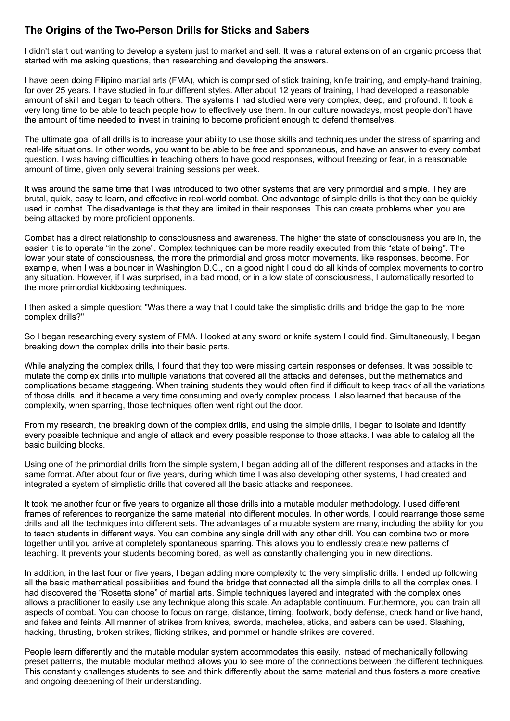## **The Origins of the Two-Person Drills for Sticks and Sabers**

I didn't start out wanting to develop a system just to market and sell. It was a natural extension of an organic process that started with me asking questions, then researching and developing the answers.

I have been doing Filipino martial arts (FMA), which is comprised of stick training, knife training, and empty-hand training, for over 25 years. I have studied in four different styles. After about 12 years of training, I had developed a reasonable amount of skill and began to teach others. The systems I had studied were very complex, deep, and profound. It took a very long time to be able to teach people how to effectively use them. In our culture nowadays, most people don't have the amount of time needed to invest in training to become proficient enough to defend themselves.

The ultimate goal of all drills is to increase your ability to use those skills and techniques under the stress of sparring and real-life situations. In other words, you want to be able to be free and spontaneous, and have an answer to every combat question. I was having difficulties in teaching others to have good responses, without freezing or fear, in a reasonable amount of time, given only several training sessions per week.

It was around the same time that I was introduced to two other systems that are very primordial and simple. They are brutal, quick, easy to learn, and effective in real-world combat. One advantage of simple drills is that they can be quickly used in combat. The disadvantage is that they are limited in their responses. This can create problems when you are being attacked by more proficient opponents.

Combat has a direct relationship to consciousness and awareness. The higher the state of consciousness you are in, the easier it is to operate "in the zone". Complex techniques can be more readily executed from this "state of being". The lower your state of consciousness, the more the primordial and gross motor movements, like responses, become. For example, when I was a bouncer in Washington D.C., on a good night I could do all kinds of complex movements to control any situation. However, if I was surprised, in a bad mood, or in a low state of consciousness, I automatically resorted to the more primordial kickboxing techniques.

I then asked a simple question; "Was there a way that I could take the simplistic drills and bridge the gap to the more complex drills?"

So I began researching every system of FMA. I looked at any sword or knife system I could find. Simultaneously, I began breaking down the complex drills into their basic parts.

While analyzing the complex drills, I found that they too were missing certain responses or defenses. It was possible to mutate the complex drills into multiple variations that covered all the attacks and defenses, but the mathematics and complications became staggering. When training students they would often find if difficult to keep track of all the variations of those drills, and it became a very time consuming and overly complex process. I also learned that because of the complexity, when sparring, those techniques often went right out the door.

From my research, the breaking down of the complex drills, and using the simple drills, I began to isolate and identify every possible technique and angle of attack and every possible response to those attacks. I was able to catalog all the basic building blocks.

Using one of the primordial drills from the simple system, I began adding all of the different responses and attacks in the same format. After about four or five years, during which time I was also developing other systems, I had created and integrated a system of simplistic drills that covered all the basic attacks and responses.

It took me another four or five years to organize all those drills into a mutable modular methodology. I used different frames of references to reorganize the same material into different modules. In other words, I could rearrange those same drills and all the techniques into different sets. The advantages of a mutable system are many, including the ability for you to teach students in different ways. You can combine any single drill with any other drill. You can combine two or more together until you arrive at completely spontaneous sparring. This allows you to endlessly create new patterns of teaching. It prevents your students becoming bored, as well as constantly challenging you in new directions.

In addition, in the last four or five years, I began adding more complexity to the very simplistic drills. I ended up following all the basic mathematical possibilities and found the bridge that connected all the simple drills to all the complex ones. I had discovered the "Rosetta stone" of martial arts. Simple techniques layered and integrated with the complex ones allows a practitioner to easily use any technique along this scale. An adaptable continuum. Furthermore, you can train all aspects of combat. You can choose to focus on range, distance, timing, footwork, body defense, check hand or live hand, and fakes and feints. All manner of strikes from knives, swords, machetes, sticks, and sabers can be used. Slashing, hacking, thrusting, broken strikes, flicking strikes, and pommel or handle strikes are covered.

People learn differently and the mutable modular system accommodates this easily. Instead of mechanically following preset patterns, the mutable modular method allows you to see more of the connections between the different techniques. This constantly challenges students to see and think differently about the same material and thus fosters a more creative and ongoing deepening of their understanding.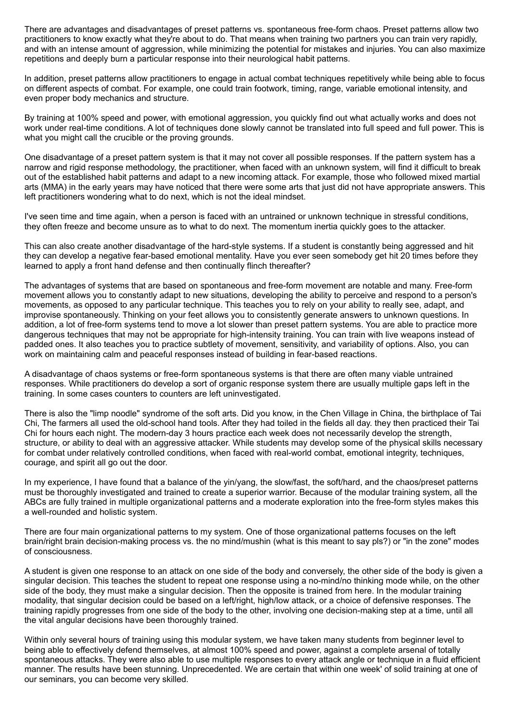There are advantages and disadvantages of preset patterns vs. spontaneous free-form chaos. Preset patterns allow two practitioners to know exactly what they're about to do. That means when training two partners you can train very rapidly, and with an intense amount of aggression, while minimizing the potential for mistakes and injuries. You can also maximize repetitions and deeply burn a particular response into their neurological habit patterns.

In addition, preset patterns allow practitioners to engage in actual combat techniques repetitively while being able to focus on different aspects of combat. For example, one could train footwork, timing, range, variable emotional intensity, and even proper body mechanics and structure.

By training at 100% speed and power, with emotional aggression, you quickly find out what actually works and does not work under real-time conditions. A lot of techniques done slowly cannot be translated into full speed and full power. This is what you might call the crucible or the proving grounds.

One disadvantage of a preset pattern system is that it may not cover all possible responses. If the pattern system has a narrow and rigid response methodology, the practitioner, when faced with an unknown system, will find it difficult to break out of the established habit patterns and adapt to a new incoming attack. For example, those who followed mixed martial arts (MMA) in the early years may have noticed that there were some arts that just did not have appropriate answers. This left practitioners wondering what to do next, which is not the ideal mindset.

I've seen time and time again, when a person is faced with an untrained or unknown technique in stressful conditions, they often freeze and become unsure as to what to do next. The momentum inertia quickly goes to the attacker.

This can also create another disadvantage of the hard-style systems. If a student is constantly being aggressed and hit they can develop a negative fear-based emotional mentality. Have you ever seen somebody get hit 20 times before they learned to apply a front hand defense and then continually flinch thereafter?

The advantages of systems that are based on spontaneous and free-form movement are notable and many. Free-form movement allows you to constantly adapt to new situations, developing the ability to perceive and respond to a person's movements, as opposed to any particular technique. This teaches you to rely on your ability to really see, adapt, and improvise spontaneously. Thinking on your feet allows you to consistently generate answers to unknown questions. In addition, a lot of free-form systems tend to move a lot slower than preset pattern systems. You are able to practice more dangerous techniques that may not be appropriate for high-intensity training. You can train with live weapons instead of padded ones. It also teaches you to practice subtlety of movement, sensitivity, and variability of options. Also, you can work on maintaining calm and peaceful responses instead of building in fear-based reactions.

A disadvantage of chaos systems or free-form spontaneous systems is that there are often many viable untrained responses. While practitioners do develop a sort of organic response system there are usually multiple gaps left in the training. In some cases counters to counters are left uninvestigated.

There is also the "limp noodle" syndrome of the soft arts. Did you know, in the Chen Village in China, the birthplace of Tai Chi, The farmers all used the old-school hand tools. After they had toiled in the fields all day. they then practiced their Tai Chi for hours each night. The modern-day 3 hours practice each week does not necessarily develop the strength, structure, or ability to deal with an aggressive attacker. While students may develop some of the physical skills necessary for combat under relatively controlled conditions, when faced with real-world combat, emotional integrity, techniques, courage, and spirit all go out the door.

In my experience, I have found that a balance of the yin/yang, the slow/fast, the soft/hard, and the chaos/preset patterns must be thoroughly investigated and trained to create a superior warrior. Because of the modular training system, all the ABCs are fully trained in multiple organizational patterns and a moderate exploration into the free-form styles makes this a well-rounded and holistic system.

There are four main organizational patterns to my system. One of those organizational patterns focuses on the left brain/right brain decision-making process vs. the no mind/mushin (what is this meant to say pls?) or "in the zone" modes of consciousness.

A student is given one response to an attack on one side of the body and conversely, the other side of the body is given a singular decision. This teaches the student to repeat one response using a no-mind/no thinking mode while, on the other side of the body, they must make a singular decision. Then the opposite is trained from here. In the modular training modality, that singular decision could be based on a left/right, high/low attack, or a choice of defensive responses. The training rapidly progresses from one side of the body to the other, involving one decision-making step at a time, until all the vital angular decisions have been thoroughly trained.

Within only several hours of training using this modular system, we have taken many students from beginner level to being able to effectively defend themselves, at almost 100% speed and power, against a complete arsenal of totally spontaneous attacks. They were also able to use multiple responses to every attack angle or technique in a fluid efficient manner. The results have been stunning. Unprecedented. We are certain that within one week' of solid training at one of our seminars, you can become very skilled.